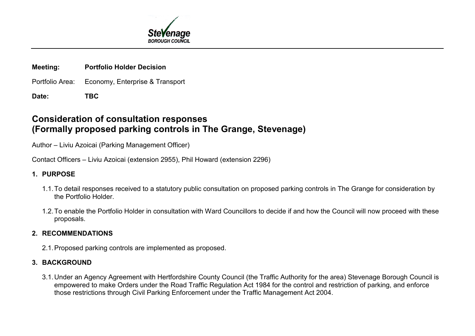

### **Meeting: Portfolio Holder Decision**

- Portfolio Area: Economy, Enterprise & Transport
- **Date: TBC**

# **Consideration of consultation responses (Formally proposed parking controls in The Grange, Stevenage)**

Author – Liviu Azoicai (Parking Management Officer)

Contact Officers – Liviu Azoicai (extension 2955), Phil Howard (extension 2296)

# **1. PURPOSE**

- 1.1.To detail responses received to a statutory public consultation on proposed parking controls in The Grange for consideration by the Portfolio Holder.
- 1.2.To enable the Portfolio Holder in consultation with Ward Councillors to decide if and how the Council will now proceed with these proposals.

# **2. RECOMMENDATIONS**

2.1. Proposed parking controls are implemented as proposed.

# **3. BACKGROUND**

3.1.Under an Agency Agreement with Hertfordshire County Council (the Traffic Authority for the area) Stevenage Borough Council is empowered to make Orders under the Road Traffic Regulation Act 1984 for the control and restriction of parking, and enforce those restrictions through Civil Parking Enforcement under the Traffic Management Act 2004.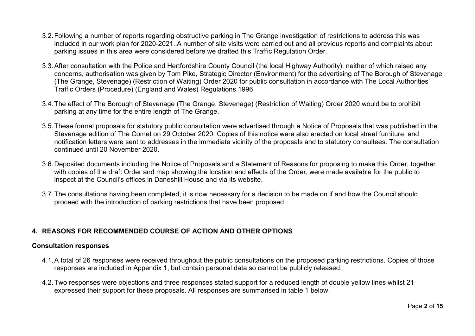- 3.2.Following a number of reports regarding obstructive parking in The Grange investigation of restrictions to address this was included in our work plan for 2020-2021. A number of site visits were carried out and all previous reports and complaints about parking issues in this area were considered before we drafted this Traffic Regulation Order.
- 3.3.After consultation with the Police and Hertfordshire County Council (the local Highway Authority), neither of which raised any concerns, authorisation was given by Tom Pike, Strategic Director (Environment) for the advertising of The Borough of Stevenage (The Grange, Stevenage) (Restriction of Waiting) Order 2020 for public consultation in accordance with The Local Authorities' Traffic Orders (Procedure) (England and Wales) Regulations 1996.
- 3.4.The effect of The Borough of Stevenage (The Grange, Stevenage) (Restriction of Waiting) Order 2020 would be to prohibit parking at any time for the entire length of The Grange.
- 3.5.These formal proposals for statutory public consultation were advertised through a Notice of Proposals that was published in the Stevenage edition of The Comet on 29 October 2020. Copies of this notice were also erected on local street furniture, and notification letters were sent to addresses in the immediate vicinity of the proposals and to statutory consultees. The consultation continued until 20 November 2020.
- 3.6.Deposited documents including the Notice of Proposals and a Statement of Reasons for proposing to make this Order, together with copies of the draft Order and map showing the location and effects of the Order, were made available for the public to inspect at the Council's offices in Daneshill House and via its website.
- 3.7.The consultations having been completed, it is now necessary for a decision to be made on if and how the Council should proceed with the introduction of parking restrictions that have been proposed.

## **4. REASONS FOR RECOMMENDED COURSE OF ACTION AND OTHER OPTIONS**

#### **Consultation responses**

- 4.1.A total of 26 responses were received throughout the public consultations on the proposed parking restrictions. Copies of those responses are included in Appendix 1, but contain personal data so cannot be publicly released.
- 4.2.Two responses were objections and three responses stated support for a reduced length of double yellow lines whilst 21 expressed their support for these proposals. All responses are summarised in table 1 below.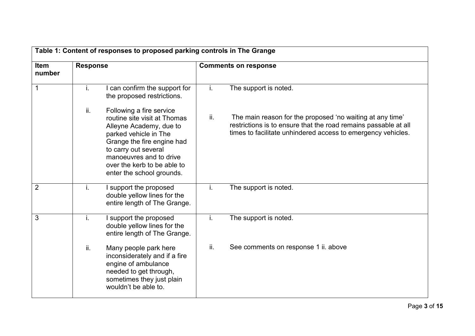|                |                 | Table 1: Content of responses to proposed parking controls in The Grange                                                                                                                                                                                  |                             |                                                                                                                                                                                              |  |
|----------------|-----------------|-----------------------------------------------------------------------------------------------------------------------------------------------------------------------------------------------------------------------------------------------------------|-----------------------------|----------------------------------------------------------------------------------------------------------------------------------------------------------------------------------------------|--|
| Item<br>number | <b>Response</b> |                                                                                                                                                                                                                                                           | <b>Comments on response</b> |                                                                                                                                                                                              |  |
| $\mathbf 1$    | j.              | can confirm the support for<br>the proposed restrictions.                                                                                                                                                                                                 | i.                          | The support is noted.                                                                                                                                                                        |  |
|                | ii.             | Following a fire service<br>routine site visit at Thomas<br>Alleyne Academy, due to<br>parked vehicle in The<br>Grange the fire engine had<br>to carry out several<br>manoeuvres and to drive<br>over the kerb to be able to<br>enter the school grounds. | ii.                         | The main reason for the proposed 'no waiting at any time'<br>restrictions is to ensure that the road remains passable at all<br>times to facilitate unhindered access to emergency vehicles. |  |
| $\overline{2}$ | j.              | I support the proposed<br>double yellow lines for the<br>entire length of The Grange.                                                                                                                                                                     | i.                          | The support is noted.                                                                                                                                                                        |  |
| 3              | i.              | I support the proposed<br>double yellow lines for the<br>entire length of The Grange.                                                                                                                                                                     | i.                          | The support is noted.                                                                                                                                                                        |  |
|                | ii.             | Many people park here<br>inconsiderately and if a fire<br>engine of ambulance<br>needed to get through,<br>sometimes they just plain<br>wouldn't be able to.                                                                                              | ii.                         | See comments on response 1 ii. above                                                                                                                                                         |  |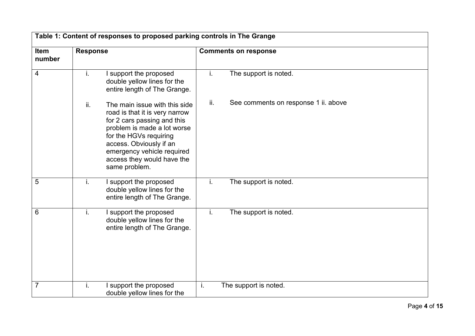|                | Table 1: Content of responses to proposed parking controls in The Grange |                                                                                                                                                                                                                                                                 |                             |                                      |  |  |
|----------------|--------------------------------------------------------------------------|-----------------------------------------------------------------------------------------------------------------------------------------------------------------------------------------------------------------------------------------------------------------|-----------------------------|--------------------------------------|--|--|
| Item<br>number | <b>Response</b>                                                          |                                                                                                                                                                                                                                                                 | <b>Comments on response</b> |                                      |  |  |
| 4              | j.                                                                       | I support the proposed<br>double yellow lines for the<br>entire length of The Grange.                                                                                                                                                                           | i.                          | The support is noted.                |  |  |
|                | ii.                                                                      | The main issue with this side<br>road is that it is very narrow<br>for 2 cars passing and this<br>problem is made a lot worse<br>for the HGVs requiring<br>access. Obviously if an<br>emergency vehicle required<br>access they would have the<br>same problem. | ii.                         | See comments on response 1 ii. above |  |  |
| 5              | i.                                                                       | I support the proposed<br>double yellow lines for the<br>entire length of The Grange.                                                                                                                                                                           | i.                          | The support is noted.                |  |  |
| 6              | j.                                                                       | I support the proposed<br>double yellow lines for the<br>entire length of The Grange.                                                                                                                                                                           | i.                          | The support is noted.                |  |  |
| 7              | j.                                                                       | I support the proposed<br>double yellow lines for the                                                                                                                                                                                                           | i.                          | The support is noted.                |  |  |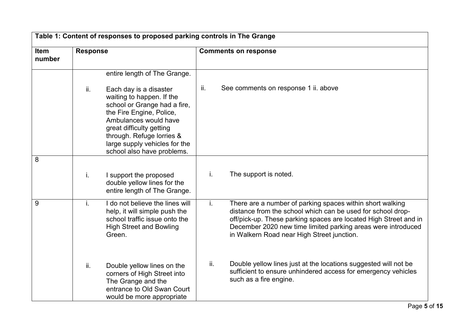|                       | Table 1: Content of responses to proposed parking controls in The Grange |                                                                                                                                                                                                                                                                  |     |                                                                                                                                                                                                                                                                                                            |  |
|-----------------------|--------------------------------------------------------------------------|------------------------------------------------------------------------------------------------------------------------------------------------------------------------------------------------------------------------------------------------------------------|-----|------------------------------------------------------------------------------------------------------------------------------------------------------------------------------------------------------------------------------------------------------------------------------------------------------------|--|
| <b>Item</b><br>number | <b>Response</b>                                                          |                                                                                                                                                                                                                                                                  |     | <b>Comments on response</b>                                                                                                                                                                                                                                                                                |  |
|                       |                                                                          | entire length of The Grange.                                                                                                                                                                                                                                     |     |                                                                                                                                                                                                                                                                                                            |  |
|                       | ii.                                                                      | Each day is a disaster<br>waiting to happen. If the<br>school or Grange had a fire,<br>the Fire Engine, Police,<br>Ambulances would have<br>great difficulty getting<br>through. Refuge lorries &<br>large supply vehicles for the<br>school also have problems. | ii. | See comments on response 1 ii. above                                                                                                                                                                                                                                                                       |  |
| 8                     |                                                                          |                                                                                                                                                                                                                                                                  |     |                                                                                                                                                                                                                                                                                                            |  |
|                       | i.                                                                       | I support the proposed<br>double yellow lines for the<br>entire length of The Grange.                                                                                                                                                                            | i.  | The support is noted.                                                                                                                                                                                                                                                                                      |  |
| 9                     | j.                                                                       | I do not believe the lines will<br>help, it will simple push the<br>school traffic issue onto the<br><b>High Street and Bowling</b><br>Green.                                                                                                                    | i.  | There are a number of parking spaces within short walking<br>distance from the school which can be used for school drop-<br>off/pick-up. These parking spaces are located High Street and in<br>December 2020 new time limited parking areas were introduced<br>in Walkern Road near High Street junction. |  |
|                       | ii.                                                                      | Double yellow lines on the<br>corners of High Street into<br>The Grange and the<br>entrance to Old Swan Court<br>would be more appropriate                                                                                                                       | ii. | Double yellow lines just at the locations suggested will not be<br>sufficient to ensure unhindered access for emergency vehicles<br>such as a fire engine.                                                                                                                                                 |  |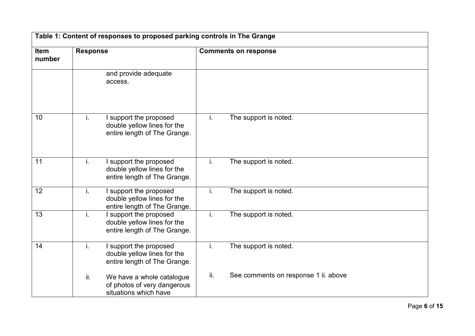|                | Table 1: Content of responses to proposed parking controls in The Grange |                                                                                       |                             |                                      |  |  |
|----------------|--------------------------------------------------------------------------|---------------------------------------------------------------------------------------|-----------------------------|--------------------------------------|--|--|
| Item<br>number | <b>Response</b>                                                          |                                                                                       | <b>Comments on response</b> |                                      |  |  |
|                |                                                                          | and provide adequate<br>access.                                                       |                             |                                      |  |  |
| 10             | j.                                                                       | I support the proposed<br>double yellow lines for the<br>entire length of The Grange. | j.                          | The support is noted.                |  |  |
| 11             | j.                                                                       | I support the proposed<br>double yellow lines for the<br>entire length of The Grange. | j.                          | The support is noted.                |  |  |
| 12             | i.                                                                       | I support the proposed<br>double yellow lines for the<br>entire length of The Grange. | i.                          | The support is noted.                |  |  |
| 13             | i.                                                                       | I support the proposed<br>double yellow lines for the<br>entire length of The Grange. | i.                          | The support is noted.                |  |  |
| 14             | i.                                                                       | I support the proposed<br>double yellow lines for the<br>entire length of The Grange. | j.                          | The support is noted.                |  |  |
|                | ii.                                                                      | We have a whole catalogue<br>of photos of very dangerous<br>situations which have     | ii.                         | See comments on response 1 ii. above |  |  |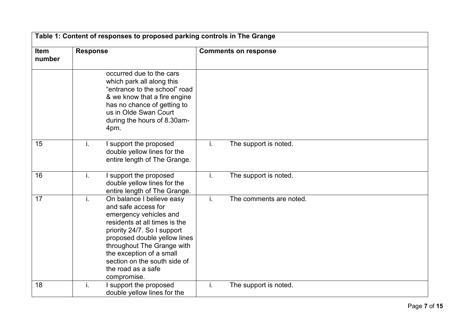|                |                 |                                                                                                                                                                                                                                                                                                           |    | <b>Comments on response</b> |  |  |  |
|----------------|-----------------|-----------------------------------------------------------------------------------------------------------------------------------------------------------------------------------------------------------------------------------------------------------------------------------------------------------|----|-----------------------------|--|--|--|
| Item<br>number | <b>Response</b> |                                                                                                                                                                                                                                                                                                           |    |                             |  |  |  |
|                |                 | occurred due to the cars<br>which park all along this<br>"entrance to the school" road<br>& we know that a fire engine<br>has no chance of getting to<br>us in Olde Swan Court<br>during the hours of 8.30am-<br>4pm.                                                                                     |    |                             |  |  |  |
| 15             | j.              | I support the proposed<br>double yellow lines for the<br>entire length of The Grange.                                                                                                                                                                                                                     | i. | The support is noted.       |  |  |  |
| 16             | i.              | I support the proposed<br>double yellow lines for the<br>entire length of The Grange.                                                                                                                                                                                                                     | i. | The support is noted.       |  |  |  |
| 17             | j.              | On balance I believe easy<br>and safe access for<br>emergency vehicles and<br>residents at all times is the<br>priority 24/7. So I support<br>proposed double yellow lines<br>throughout The Grange with<br>the exception of a small<br>section on the south side of<br>the road as a safe<br>compromise. | İ. | The comments are noted.     |  |  |  |
| 18             | j.              | I support the proposed<br>double yellow lines for the                                                                                                                                                                                                                                                     | i. | The support is noted.       |  |  |  |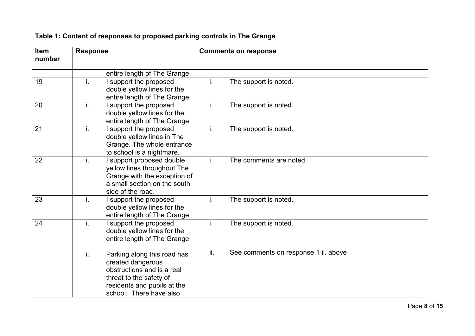| Item<br>number | <b>Response</b> |                                                                                                                                                                     | <b>Comments on response</b> |                                      |  |
|----------------|-----------------|---------------------------------------------------------------------------------------------------------------------------------------------------------------------|-----------------------------|--------------------------------------|--|
|                |                 | entire length of The Grange.                                                                                                                                        |                             |                                      |  |
| 19             | i.              | I support the proposed<br>double yellow lines for the<br>entire length of The Grange.                                                                               | i.                          | The support is noted.                |  |
| 20             | i.              | I support the proposed<br>double yellow lines for the<br>entire length of The Grange.                                                                               | i.                          | The support is noted.                |  |
| 21             | i.              | I support the proposed<br>double yellow lines in The<br>Grange. The whole entrance<br>to school is a nightmare.                                                     | i.                          | The support is noted.                |  |
| 22             | i.              | I support proposed double<br>yellow lines throughout The<br>Grange with the exception of<br>a small section on the south<br>side of the road.                       | j.                          | The comments are noted.              |  |
| 23             | i.              | I support the proposed<br>double yellow lines for the<br>entire length of The Grange.                                                                               | i.                          | The support is noted.                |  |
| 24             | i.              | I support the proposed<br>double yellow lines for the<br>entire length of The Grange.                                                                               | i.                          | The support is noted.                |  |
|                | ii.             | Parking along this road has<br>created dangerous<br>obstructions and is a real<br>threat to the safety of<br>residents and pupils at the<br>school. There have also | ii.                         | See comments on response 1 ii. above |  |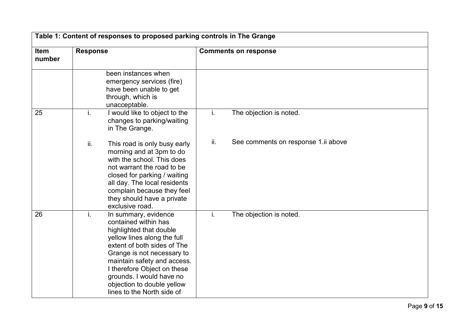|                | Table 1: Content of responses to proposed parking controls in The Grange                                                                                                                                                                                                                                                        |                                            |  |  |  |
|----------------|---------------------------------------------------------------------------------------------------------------------------------------------------------------------------------------------------------------------------------------------------------------------------------------------------------------------------------|--------------------------------------------|--|--|--|
| Item<br>number | <b>Response</b>                                                                                                                                                                                                                                                                                                                 | <b>Comments on response</b>                |  |  |  |
|                | been instances when<br>emergency services (fire)<br>have been unable to get<br>through, which is<br>unacceptable.                                                                                                                                                                                                               |                                            |  |  |  |
| 25             | i.<br>I would like to object to the<br>changes to parking/waiting<br>in The Grange.                                                                                                                                                                                                                                             | i.<br>The objection is noted.              |  |  |  |
|                | ii.<br>This road is only busy early<br>morning and at 3pm to do<br>with the school. This does<br>not warrant the road to be<br>closed for parking / waiting<br>all day. The local residents<br>complain because they feel<br>they should have a private<br>exclusive road.                                                      | ii.<br>See comments on response 1.ii above |  |  |  |
| 26             | In summary, evidence<br>j.<br>contained within has<br>highlighted that double<br>yellow lines along the full<br>extent of both sides of The<br>Grange is not necessary to<br>maintain safety and access.<br>I therefore Object on these<br>grounds. I would have no<br>objection to double yellow<br>lines to the North side of | The objection is noted.<br>i.              |  |  |  |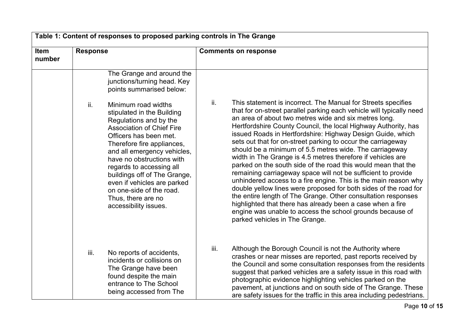|                       | Table 1: Content of responses to proposed parking controls in The Grange |                                                                                                                                                                                                                                                                                                                                                                                                           |      |                                                                                                                                                                                                                                                                                                                                                                                                                                                                                                                                                                                                                                                                                                                                                                                                                                                                                                                                                                                                                                 |  |
|-----------------------|--------------------------------------------------------------------------|-----------------------------------------------------------------------------------------------------------------------------------------------------------------------------------------------------------------------------------------------------------------------------------------------------------------------------------------------------------------------------------------------------------|------|---------------------------------------------------------------------------------------------------------------------------------------------------------------------------------------------------------------------------------------------------------------------------------------------------------------------------------------------------------------------------------------------------------------------------------------------------------------------------------------------------------------------------------------------------------------------------------------------------------------------------------------------------------------------------------------------------------------------------------------------------------------------------------------------------------------------------------------------------------------------------------------------------------------------------------------------------------------------------------------------------------------------------------|--|
| <b>Item</b><br>number | <b>Response</b>                                                          |                                                                                                                                                                                                                                                                                                                                                                                                           |      | <b>Comments on response</b>                                                                                                                                                                                                                                                                                                                                                                                                                                                                                                                                                                                                                                                                                                                                                                                                                                                                                                                                                                                                     |  |
|                       |                                                                          | The Grange and around the<br>junctions/turning head. Key<br>points summarised below:                                                                                                                                                                                                                                                                                                                      |      |                                                                                                                                                                                                                                                                                                                                                                                                                                                                                                                                                                                                                                                                                                                                                                                                                                                                                                                                                                                                                                 |  |
|                       | ii.                                                                      | Minimum road widths<br>stipulated in the Building<br>Regulations and by the<br><b>Association of Chief Fire</b><br>Officers has been met.<br>Therefore fire appliances,<br>and all emergency vehicles,<br>have no obstructions with<br>regards to accessing all<br>buildings off of The Grange,<br>even if vehicles are parked<br>on one-side of the road.<br>Thus, there are no<br>accessibility issues. | ii.  | This statement is incorrect. The Manual for Streets specifies<br>that for on-street parallel parking each vehicle will typically need<br>an area of about two metres wide and six metres long.<br>Hertfordshire County Council, the local Highway Authority, has<br>issued Roads in Hertfordshire: Highway Design Guide, which<br>sets out that for on-street parking to occur the carriageway<br>should be a minimum of 5.5 metres wide. The carriageway<br>width in The Grange is 4.5 metres therefore if vehicles are<br>parked on the south side of the road this would mean that the<br>remaining carriageway space will not be sufficient to provide<br>unhindered access to a fire engine. This is the main reason why<br>double yellow lines were proposed for both sides of the road for<br>the entire length of The Grange. Other consultation responses<br>highlighted that there has already been a case when a fire<br>engine was unable to access the school grounds because of<br>parked vehicles in The Grange. |  |
|                       | iii.                                                                     | No reports of accidents,<br>incidents or collisions on<br>The Grange have been<br>found despite the main<br>entrance to The School<br>being accessed from The                                                                                                                                                                                                                                             | iii. | Although the Borough Council is not the Authority where<br>crashes or near misses are reported, past reports received by<br>the Council and some consultation responses from the residents<br>suggest that parked vehicles are a safety issue in this road with<br>photographic evidence highlighting vehicles parked on the<br>pavement, at junctions and on south side of The Grange. These<br>are safety issues for the traffic in this area including pedestrians.                                                                                                                                                                                                                                                                                                                                                                                                                                                                                                                                                          |  |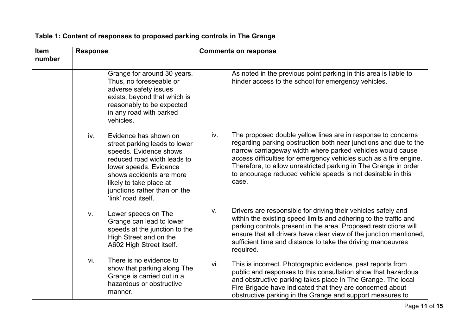|                | Table 1: Content of responses to proposed parking controls in The Grange                                                                                                                                                                                       |                                                                                                                                                                                                                                                                                                                                                                                                                        |  |  |  |
|----------------|----------------------------------------------------------------------------------------------------------------------------------------------------------------------------------------------------------------------------------------------------------------|------------------------------------------------------------------------------------------------------------------------------------------------------------------------------------------------------------------------------------------------------------------------------------------------------------------------------------------------------------------------------------------------------------------------|--|--|--|
| Item<br>number | <b>Response</b>                                                                                                                                                                                                                                                | <b>Comments on response</b>                                                                                                                                                                                                                                                                                                                                                                                            |  |  |  |
|                | Grange for around 30 years.<br>Thus, no foreseeable or<br>adverse safety issues<br>exists, beyond that which is<br>reasonably to be expected<br>in any road with parked<br>vehicles.                                                                           | As noted in the previous point parking in this area is liable to<br>hinder access to the school for emergency vehicles.                                                                                                                                                                                                                                                                                                |  |  |  |
|                | iv.<br>Evidence has shown on<br>street parking leads to lower<br>speeds. Evidence shows<br>reduced road width leads to<br>lower speeds. Evidence<br>shows accidents are more<br>likely to take place at<br>junctions rather than on the<br>'link' road itself. | iv.<br>The proposed double yellow lines are in response to concerns<br>regarding parking obstruction both near junctions and due to the<br>narrow carriageway width where parked vehicles would cause<br>access difficulties for emergency vehicles such as a fire engine.<br>Therefore, to allow unrestricted parking in The Grange in order<br>to encourage reduced vehicle speeds is not desirable in this<br>case. |  |  |  |
|                | Lower speeds on The<br>V.<br>Grange can lead to lower<br>speeds at the junction to the<br>High Street and on the<br>A602 High Street itself.                                                                                                                   | Drivers are responsible for driving their vehicles safely and<br>V.<br>within the existing speed limits and adhering to the traffic and<br>parking controls present in the area. Proposed restrictions will<br>ensure that all drivers have clear view of the junction mentioned,<br>sufficient time and distance to take the driving manoeuvres<br>required.                                                          |  |  |  |
|                | There is no evidence to<br>vi.<br>show that parking along The<br>Grange is carried out in a<br>hazardous or obstructive<br>manner.                                                                                                                             | This is incorrect. Photographic evidence, past reports from<br>vi.<br>public and responses to this consultation show that hazardous<br>and obstructive parking takes place in The Grange. The local<br>Fire Brigade have indicated that they are concerned about<br>obstructive parking in the Grange and support measures to                                                                                          |  |  |  |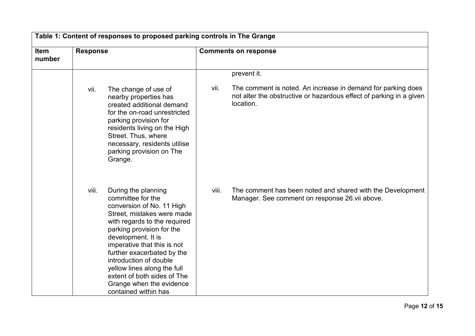| Table 1: Content of responses to proposed parking controls in The Grange |                                                                                                                                                                                                                                                                                                                                                                                                          |                                                                                                                                                          |  |  |
|--------------------------------------------------------------------------|----------------------------------------------------------------------------------------------------------------------------------------------------------------------------------------------------------------------------------------------------------------------------------------------------------------------------------------------------------------------------------------------------------|----------------------------------------------------------------------------------------------------------------------------------------------------------|--|--|
| Item<br>number                                                           | <b>Response</b>                                                                                                                                                                                                                                                                                                                                                                                          | <b>Comments on response</b>                                                                                                                              |  |  |
|                                                                          |                                                                                                                                                                                                                                                                                                                                                                                                          | prevent it.                                                                                                                                              |  |  |
|                                                                          | The change of use of<br>vii.<br>nearby properties has<br>created additional demand<br>for the on-road unrestricted<br>parking provision for<br>residents living on the High<br>Street. Thus, where<br>necessary, residents utilise<br>parking provision on The<br>Grange.                                                                                                                                | vii.<br>The comment is noted. An increase in demand for parking does<br>not alter the obstructive or hazardous effect of parking in a given<br>location. |  |  |
|                                                                          | viii.<br>During the planning<br>committee for the<br>conversion of No. 11 High<br>Street, mistakes were made<br>with regards to the required<br>parking provision for the<br>development. It is<br>imperative that this is not<br>further exacerbated by the<br>introduction of double<br>yellow lines along the full<br>extent of both sides of The<br>Grange when the evidence<br>contained within has | The comment has been noted and shared with the Development<br>viii.<br>Manager. See comment on response 26 vii above.                                    |  |  |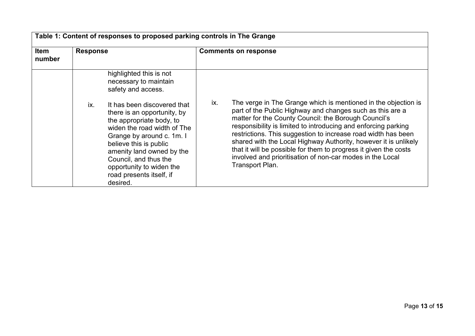| <b>Item</b><br>number | <b>Response</b> |                                                                                                                                                                                                                                                                                                        | <b>Comments on response</b> |                                                                                                                                                                                                                                                                                                                                                                                                                                                                                                                                               |  |
|-----------------------|-----------------|--------------------------------------------------------------------------------------------------------------------------------------------------------------------------------------------------------------------------------------------------------------------------------------------------------|-----------------------------|-----------------------------------------------------------------------------------------------------------------------------------------------------------------------------------------------------------------------------------------------------------------------------------------------------------------------------------------------------------------------------------------------------------------------------------------------------------------------------------------------------------------------------------------------|--|
|                       |                 | highlighted this is not<br>necessary to maintain<br>safety and access.                                                                                                                                                                                                                                 |                             |                                                                                                                                                                                                                                                                                                                                                                                                                                                                                                                                               |  |
|                       | ix.             | It has been discovered that<br>there is an opportunity, by<br>the appropriate body, to<br>widen the road width of The<br>Grange by around c. 1m. I<br>believe this is public<br>amenity land owned by the<br>Council, and thus the<br>opportunity to widen the<br>road presents itself, if<br>desired. | ix.                         | The verge in The Grange which is mentioned in the objection is<br>part of the Public Highway and changes such as this are a<br>matter for the County Council: the Borough Council's<br>responsibility is limited to introducing and enforcing parking<br>restrictions. This suggestion to increase road width has been<br>shared with the Local Highway Authority, however it is unlikely<br>that it will be possible for them to progress it given the costs<br>involved and prioritisation of non-car modes in the Local<br>Transport Plan. |  |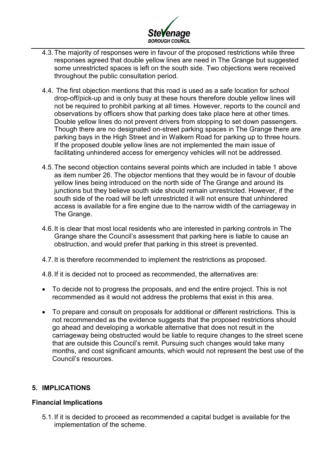

- 4.3.The majority of responses were in favour of the proposed restrictions while three responses agreed that double yellow lines are need in The Grange but suggested some unrestricted spaces is left on the south side. Two objections were received throughout the public consultation period.
- 4.4. The first objection mentions that this road is used as a safe location for school drop-off/pick-up and is only busy at these hours therefore double yellow lines will not be required to prohibit parking at all times. However, reports to the council and observations by officers show that parking does take place here at other times. Double yellow lines do not prevent drivers from stopping to set down passengers. Though there are no designated on-street parking spaces in The Grange there are parking bays in the High Street and in Walkern Road for parking up to three hours. If the proposed double yellow lines are not implemented the main issue of facilitating unhindered access for emergency vehicles will not be addressed.
- 4.5.The second objection contains several points which are included in table 1 above as item number 26. The objector mentions that they would be in favour of double yellow lines being introduced on the north side of The Grange and around its junctions but they believe south side should remain unrestricted. However, if the south side of the road will be left unrestricted it will not ensure that unhindered access is available for a fire engine due to the narrow width of the carriageway in The Grange.
- 4.6.It is clear that most local residents who are interested in parking controls in The Grange share the Council's assessment that parking here is liable to cause an obstruction, and would prefer that parking in this street is prevented.
- 4.7.It is therefore recommended to implement the restrictions as proposed.
- 4.8.If it is decided not to proceed as recommended, the alternatives are:
- To decide not to progress the proposals, and end the entire project. This is not recommended as it would not address the problems that exist in this area.
- To prepare and consult on proposals for additional or different restrictions. This is not recommended as the evidence suggests that the proposed restrictions should go ahead and developing a workable alternative that does not result in the carriageway being obstructed would be liable to require changes to the street scene that are outside this Council's remit. Pursuing such changes would take many months, and cost significant amounts, which would not represent the best use of the Council's resources.

## **5. IMPLICATIONS**

### **Financial Implications**

5.1.If it is decided to proceed as recommended a capital budget is available for the implementation of the scheme.